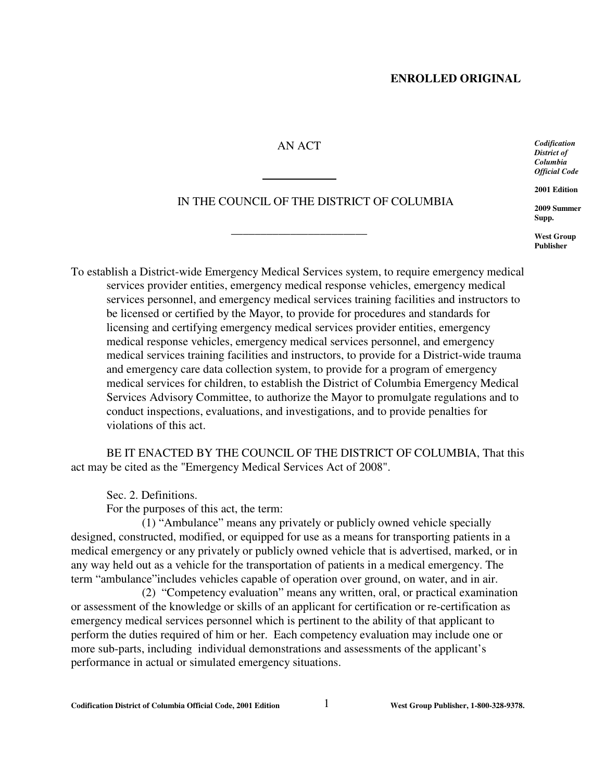### AN ACT

\_\_\_\_\_\_\_\_\_\_\_\_\_\_\_\_\_\_\_\_\_\_\_

l

## IN THE COUNCIL OF THE DISTRICT OF COLUMBIA

*Codification District of Columbia Official Code*

**2001 Edition**

**2009 Summer Supp.**

**West Group Publisher**

To establish a District-wide Emergency Medical Services system, to require emergency medical services provider entities, emergency medical response vehicles, emergency medical services personnel, and emergency medical services training facilities and instructors to be licensed or certified by the Mayor, to provide for procedures and standards for licensing and certifying emergency medical services provider entities, emergency medical response vehicles, emergency medical services personnel, and emergency medical services training facilities and instructors, to provide for a District-wide trauma and emergency care data collection system, to provide for a program of emergency medical services for children, to establish the District of Columbia Emergency Medical Services Advisory Committee, to authorize the Mayor to promulgate regulations and to conduct inspections, evaluations, and investigations, and to provide penalties for violations of this act.

BE IT ENACTED BY THE COUNCIL OF THE DISTRICT OF COLUMBIA, That this act may be cited as the "Emergency Medical Services Act of 2008".

Sec. 2. Definitions.

For the purposes of this act, the term:

 (1) "Ambulance" means any privately or publicly owned vehicle specially designed, constructed, modified, or equipped for use as a means for transporting patients in a medical emergency or any privately or publicly owned vehicle that is advertised, marked, or in any way held out as a vehicle for the transportation of patients in a medical emergency. The term "ambulance"includes vehicles capable of operation over ground, on water, and in air.

(2) "Competency evaluation" means any written, oral, or practical examination or assessment of the knowledge or skills of an applicant for certification or re-certification as emergency medical services personnel which is pertinent to the ability of that applicant to perform the duties required of him or her. Each competency evaluation may include one or more sub-parts, including individual demonstrations and assessments of the applicant's performance in actual or simulated emergency situations.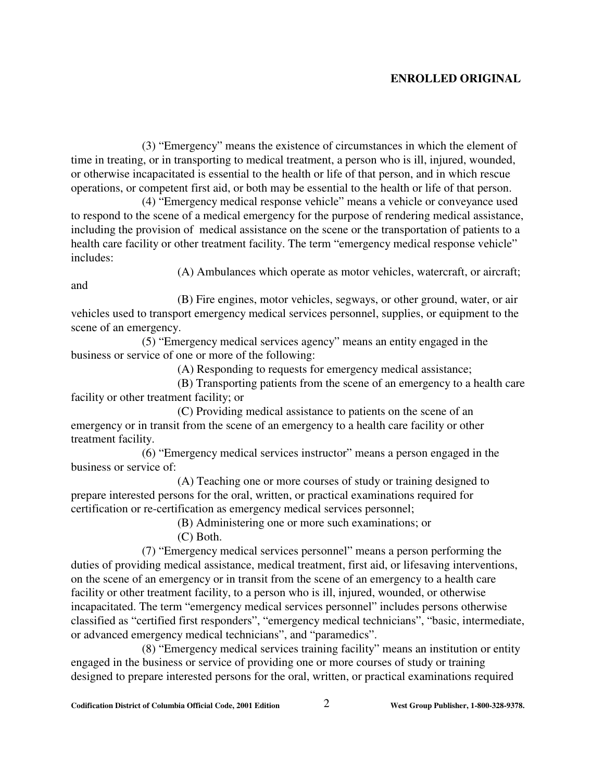(3) "Emergency" means the existence of circumstances in which the element of time in treating, or in transporting to medical treatment, a person who is ill, injured, wounded, or otherwise incapacitated is essential to the health or life of that person, and in which rescue operations, or competent first aid, or both may be essential to the health or life of that person.

(4) "Emergency medical response vehicle" means a vehicle or conveyance used to respond to the scene of a medical emergency for the purpose of rendering medical assistance, including the provision of medical assistance on the scene or the transportation of patients to a health care facility or other treatment facility. The term "emergency medical response vehicle" includes:

(A) Ambulances which operate as motor vehicles, watercraft, or aircraft;

and

(B) Fire engines, motor vehicles, segways, or other ground, water, or air vehicles used to transport emergency medical services personnel, supplies, or equipment to the scene of an emergency.

(5) "Emergency medical services agency" means an entity engaged in the business or service of one or more of the following:

(A) Responding to requests for emergency medical assistance;

(B) Transporting patients from the scene of an emergency to a health care facility or other treatment facility; or

(C) Providing medical assistance to patients on the scene of an emergency or in transit from the scene of an emergency to a health care facility or other treatment facility.

(6) "Emergency medical services instructor" means a person engaged in the business or service of:

(A) Teaching one or more courses of study or training designed to prepare interested persons for the oral, written, or practical examinations required for certification or re-certification as emergency medical services personnel;

(B) Administering one or more such examinations; or (C) Both.

(7) "Emergency medical services personnel" means a person performing the duties of providing medical assistance, medical treatment, first aid, or lifesaving interventions, on the scene of an emergency or in transit from the scene of an emergency to a health care facility or other treatment facility, to a person who is ill, injured, wounded, or otherwise incapacitated. The term "emergency medical services personnel" includes persons otherwise classified as "certified first responders", "emergency medical technicians", "basic, intermediate, or advanced emergency medical technicians", and "paramedics".

(8) "Emergency medical services training facility" means an institution or entity engaged in the business or service of providing one or more courses of study or training designed to prepare interested persons for the oral, written, or practical examinations required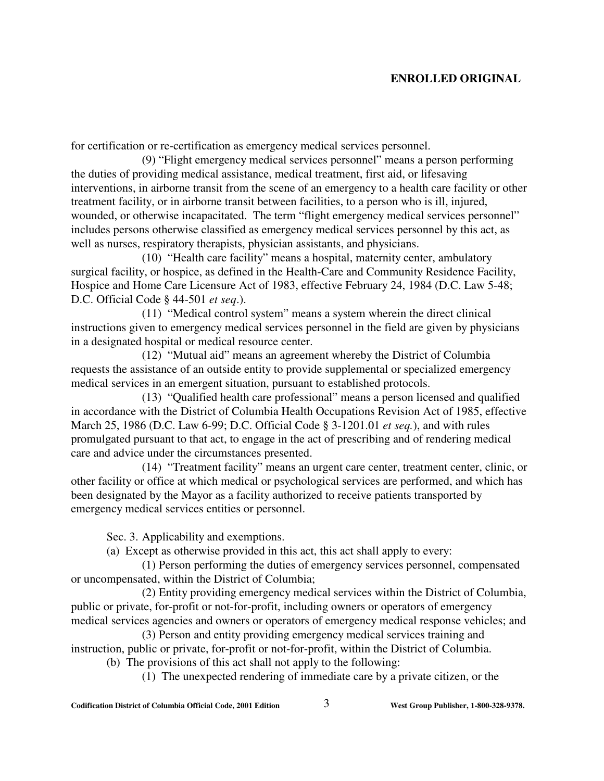for certification or re-certification as emergency medical services personnel.

(9) "Flight emergency medical services personnel" means a person performing the duties of providing medical assistance, medical treatment, first aid, or lifesaving interventions, in airborne transit from the scene of an emergency to a health care facility or other treatment facility, or in airborne transit between facilities, to a person who is ill, injured, wounded, or otherwise incapacitated. The term "flight emergency medical services personnel" includes persons otherwise classified as emergency medical services personnel by this act, as well as nurses, respiratory therapists, physician assistants, and physicians.

(10) "Health care facility" means a hospital, maternity center, ambulatory surgical facility, or hospice, as defined in the Health-Care and Community Residence Facility, Hospice and Home Care Licensure Act of 1983, effective February 24, 1984 (D.C. Law 5-48; D.C. Official Code § 44-501 *et seq*.).

(11) "Medical control system" means a system wherein the direct clinical instructions given to emergency medical services personnel in the field are given by physicians in a designated hospital or medical resource center.

(12) "Mutual aid" means an agreement whereby the District of Columbia requests the assistance of an outside entity to provide supplemental or specialized emergency medical services in an emergent situation, pursuant to established protocols.

(13) "Qualified health care professional" means a person licensed and qualified in accordance with the District of Columbia Health Occupations Revision Act of 1985, effective March 25, 1986 (D.C. Law 6-99; D.C. Official Code § 3-1201.01 *et seq.*), and with rules promulgated pursuant to that act, to engage in the act of prescribing and of rendering medical care and advice under the circumstances presented.

(14) "Treatment facility" means an urgent care center, treatment center, clinic, or other facility or office at which medical or psychological services are performed, and which has been designated by the Mayor as a facility authorized to receive patients transported by emergency medical services entities or personnel.

Sec. 3. Applicability and exemptions.

(a) Except as otherwise provided in this act, this act shall apply to every:

(1) Person performing the duties of emergency services personnel, compensated or uncompensated, within the District of Columbia;

(2) Entity providing emergency medical services within the District of Columbia, public or private, for-profit or not-for-profit, including owners or operators of emergency medical services agencies and owners or operators of emergency medical response vehicles; and

(3) Person and entity providing emergency medical services training and instruction, public or private, for-profit or not-for-profit, within the District of Columbia. (b) The provisions of this act shall not apply to the following:

(1) The unexpected rendering of immediate care by a private citizen, or the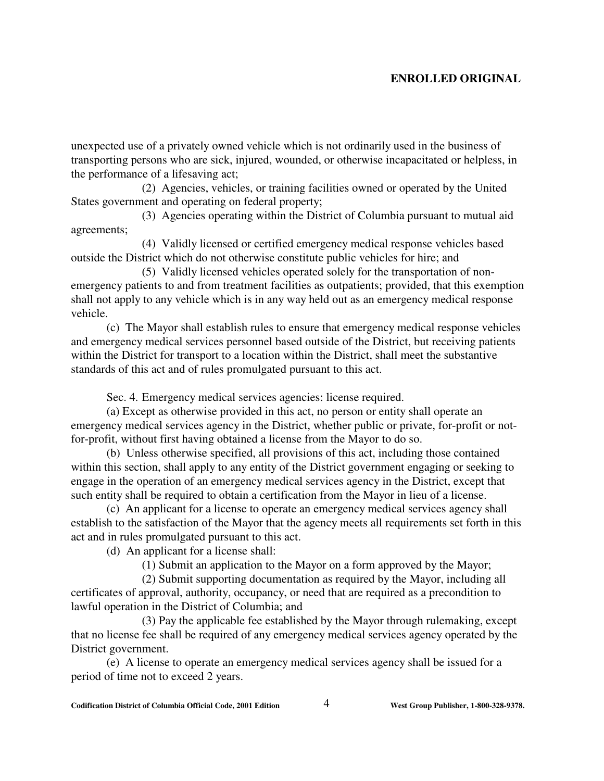unexpected use of a privately owned vehicle which is not ordinarily used in the business of transporting persons who are sick, injured, wounded, or otherwise incapacitated or helpless, in the performance of a lifesaving act;

(2) Agencies, vehicles, or training facilities owned or operated by the United States government and operating on federal property;

(3) Agencies operating within the District of Columbia pursuant to mutual aid agreements;

(4) Validly licensed or certified emergency medical response vehicles based outside the District which do not otherwise constitute public vehicles for hire; and

(5) Validly licensed vehicles operated solely for the transportation of nonemergency patients to and from treatment facilities as outpatients; provided, that this exemption shall not apply to any vehicle which is in any way held out as an emergency medical response vehicle.

(c) The Mayor shall establish rules to ensure that emergency medical response vehicles and emergency medical services personnel based outside of the District, but receiving patients within the District for transport to a location within the District, shall meet the substantive standards of this act and of rules promulgated pursuant to this act.

Sec. 4. Emergency medical services agencies: license required.

(a) Except as otherwise provided in this act, no person or entity shall operate an emergency medical services agency in the District, whether public or private, for-profit or notfor-profit, without first having obtained a license from the Mayor to do so.

(b) Unless otherwise specified, all provisions of this act, including those contained within this section, shall apply to any entity of the District government engaging or seeking to engage in the operation of an emergency medical services agency in the District, except that such entity shall be required to obtain a certification from the Mayor in lieu of a license.

(c) An applicant for a license to operate an emergency medical services agency shall establish to the satisfaction of the Mayor that the agency meets all requirements set forth in this act and in rules promulgated pursuant to this act.

(d) An applicant for a license shall:

(1) Submit an application to the Mayor on a form approved by the Mayor;

 (2) Submit supporting documentation as required by the Mayor, including all certificates of approval, authority, occupancy, or need that are required as a precondition to lawful operation in the District of Columbia; and

 (3) Pay the applicable fee established by the Mayor through rulemaking, except that no license fee shall be required of any emergency medical services agency operated by the District government.

(e) A license to operate an emergency medical services agency shall be issued for a period of time not to exceed 2 years.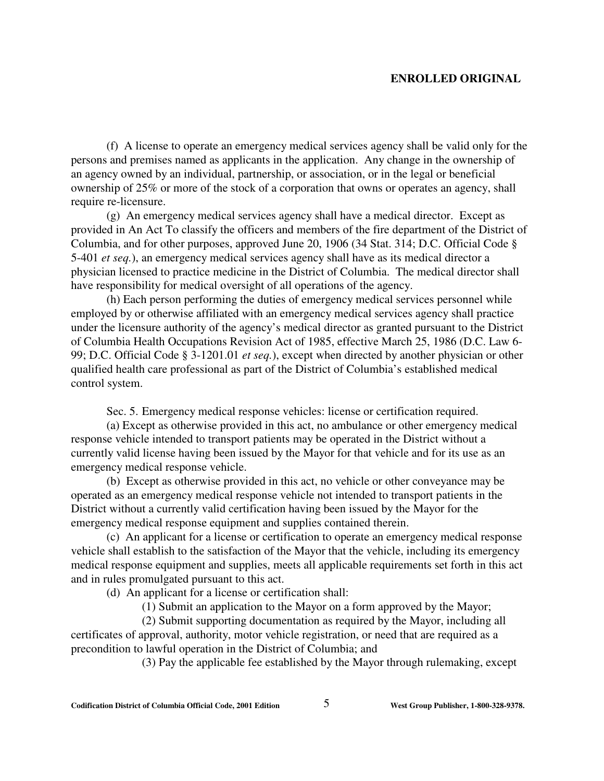(f) A license to operate an emergency medical services agency shall be valid only for the persons and premises named as applicants in the application. Any change in the ownership of an agency owned by an individual, partnership, or association, or in the legal or beneficial ownership of 25% or more of the stock of a corporation that owns or operates an agency, shall require re-licensure.

(g) An emergency medical services agency shall have a medical director. Except as provided in An Act To classify the officers and members of the fire department of the District of Columbia, and for other purposes, approved June 20, 1906 (34 Stat. 314; D.C. Official Code § 5-401 *et seq.*), an emergency medical services agency shall have as its medical director a physician licensed to practice medicine in the District of Columbia. The medical director shall have responsibility for medical oversight of all operations of the agency.

(h) Each person performing the duties of emergency medical services personnel while employed by or otherwise affiliated with an emergency medical services agency shall practice under the licensure authority of the agency's medical director as granted pursuant to the District of Columbia Health Occupations Revision Act of 1985, effective March 25, 1986 (D.C. Law 6- 99; D.C. Official Code § 3-1201.01 *et seq.*), except when directed by another physician or other qualified health care professional as part of the District of Columbia's established medical control system.

Sec. 5. Emergency medical response vehicles: license or certification required.

(a) Except as otherwise provided in this act, no ambulance or other emergency medical response vehicle intended to transport patients may be operated in the District without a currently valid license having been issued by the Mayor for that vehicle and for its use as an emergency medical response vehicle.

(b) Except as otherwise provided in this act, no vehicle or other conveyance may be operated as an emergency medical response vehicle not intended to transport patients in the District without a currently valid certification having been issued by the Mayor for the emergency medical response equipment and supplies contained therein.

(c) An applicant for a license or certification to operate an emergency medical response vehicle shall establish to the satisfaction of the Mayor that the vehicle, including its emergency medical response equipment and supplies, meets all applicable requirements set forth in this act and in rules promulgated pursuant to this act.

(d) An applicant for a license or certification shall:

(1) Submit an application to the Mayor on a form approved by the Mayor;

 (2) Submit supporting documentation as required by the Mayor, including all certificates of approval, authority, motor vehicle registration, or need that are required as a precondition to lawful operation in the District of Columbia; and

(3) Pay the applicable fee established by the Mayor through rulemaking, except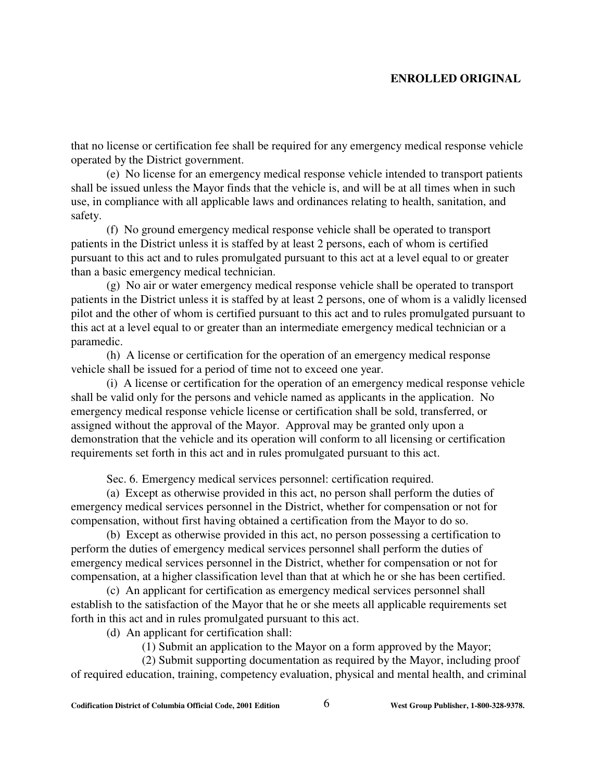that no license or certification fee shall be required for any emergency medical response vehicle operated by the District government.

(e) No license for an emergency medical response vehicle intended to transport patients shall be issued unless the Mayor finds that the vehicle is, and will be at all times when in such use, in compliance with all applicable laws and ordinances relating to health, sanitation, and safety.

(f) No ground emergency medical response vehicle shall be operated to transport patients in the District unless it is staffed by at least 2 persons, each of whom is certified pursuant to this act and to rules promulgated pursuant to this act at a level equal to or greater than a basic emergency medical technician.

(g) No air or water emergency medical response vehicle shall be operated to transport patients in the District unless it is staffed by at least 2 persons, one of whom is a validly licensed pilot and the other of whom is certified pursuant to this act and to rules promulgated pursuant to this act at a level equal to or greater than an intermediate emergency medical technician or a paramedic.

(h) A license or certification for the operation of an emergency medical response vehicle shall be issued for a period of time not to exceed one year.

(i) A license or certification for the operation of an emergency medical response vehicle shall be valid only for the persons and vehicle named as applicants in the application. No emergency medical response vehicle license or certification shall be sold, transferred, or assigned without the approval of the Mayor. Approval may be granted only upon a demonstration that the vehicle and its operation will conform to all licensing or certification requirements set forth in this act and in rules promulgated pursuant to this act.

Sec. 6. Emergency medical services personnel: certification required.

(a) Except as otherwise provided in this act, no person shall perform the duties of emergency medical services personnel in the District, whether for compensation or not for compensation, without first having obtained a certification from the Mayor to do so.

(b) Except as otherwise provided in this act, no person possessing a certification to perform the duties of emergency medical services personnel shall perform the duties of emergency medical services personnel in the District, whether for compensation or not for compensation, at a higher classification level than that at which he or she has been certified.

(c) An applicant for certification as emergency medical services personnel shall establish to the satisfaction of the Mayor that he or she meets all applicable requirements set forth in this act and in rules promulgated pursuant to this act.

(d) An applicant for certification shall:

(1) Submit an application to the Mayor on a form approved by the Mayor;

 (2) Submit supporting documentation as required by the Mayor, including proof of required education, training, competency evaluation, physical and mental health, and criminal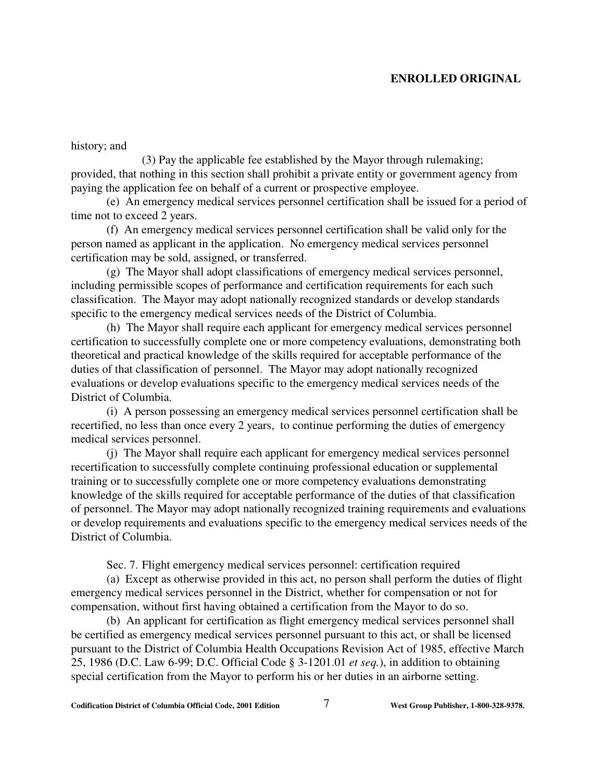history; and

 (3) Pay the applicable fee established by the Mayor through rulemaking; provided, that nothing in this section shall prohibit a private entity or government agency from paying the application fee on behalf of a current or prospective employee.

(e) An emergency medical services personnel certification shall be issued for a period of time not to exceed 2 years.

(f) An emergency medical services personnel certification shall be valid only for the person named as applicant in the application. No emergency medical services personnel certification may be sold, assigned, or transferred.

(g) The Mayor shall adopt classifications of emergency medical services personnel, including permissible scopes of performance and certification requirements for each such classification. The Mayor may adopt nationally recognized standards or develop standards specific to the emergency medical services needs of the District of Columbia.

(h) The Mayor shall require each applicant for emergency medical services personnel certification to successfully complete one or more competency evaluations, demonstrating both theoretical and practical knowledge of the skills required for acceptable performance of the duties of that classification of personnel. The Mayor may adopt nationally recognized evaluations or develop evaluations specific to the emergency medical services needs of the District of Columbia.

(i) A person possessing an emergency medical services personnel certification shall be recertified, no less than once every 2 years, to continue performing the duties of emergency medical services personnel.

(j) The Mayor shall require each applicant for emergency medical services personnel recertification to successfully complete continuing professional education or supplemental training or to successfully complete one or more competency evaluations demonstrating knowledge of the skills required for acceptable performance of the duties of that classification of personnel. The Mayor may adopt nationally recognized training requirements and evaluations or develop requirements and evaluations specific to the emergency medical services needs of the District of Columbia.

Sec. 7. Flight emergency medical services personnel: certification required

(a) Except as otherwise provided in this act, no person shall perform the duties of flight emergency medical services personnel in the District, whether for compensation or not for compensation, without first having obtained a certification from the Mayor to do so.

(b) An applicant for certification as flight emergency medical services personnel shall be certified as emergency medical services personnel pursuant to this act, or shall be licensed pursuant to the District of Columbia Health Occupations Revision Act of 1985, effective March 25, 1986 (D.C. Law 6-99; D.C. Official Code § 3-1201.01 *et seq.*), in addition to obtaining special certification from the Mayor to perform his or her duties in an airborne setting.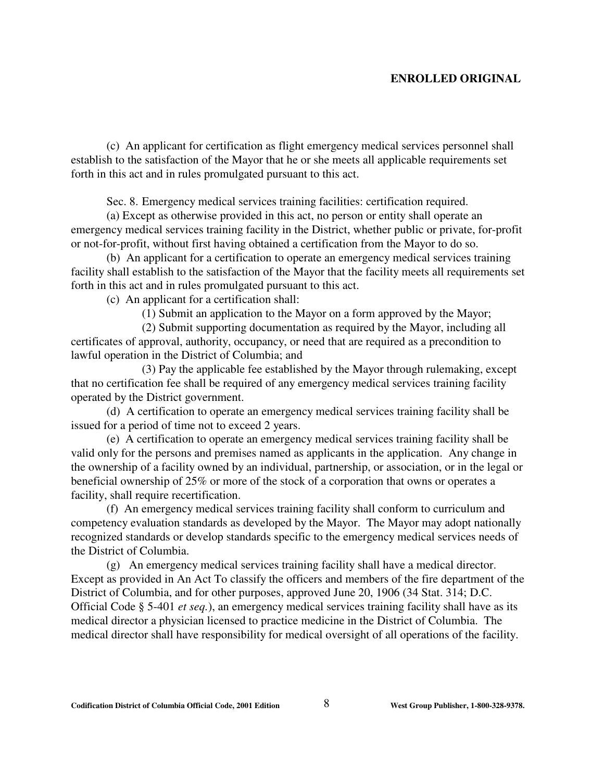(c) An applicant for certification as flight emergency medical services personnel shall establish to the satisfaction of the Mayor that he or she meets all applicable requirements set forth in this act and in rules promulgated pursuant to this act.

Sec. 8. Emergency medical services training facilities: certification required.

(a) Except as otherwise provided in this act, no person or entity shall operate an emergency medical services training facility in the District, whether public or private, for-profit or not-for-profit, without first having obtained a certification from the Mayor to do so.

(b) An applicant for a certification to operate an emergency medical services training facility shall establish to the satisfaction of the Mayor that the facility meets all requirements set forth in this act and in rules promulgated pursuant to this act.

(c) An applicant for a certification shall:

(1) Submit an application to the Mayor on a form approved by the Mayor;

 (2) Submit supporting documentation as required by the Mayor, including all certificates of approval, authority, occupancy, or need that are required as a precondition to lawful operation in the District of Columbia; and

 (3) Pay the applicable fee established by the Mayor through rulemaking, except that no certification fee shall be required of any emergency medical services training facility operated by the District government.

(d) A certification to operate an emergency medical services training facility shall be issued for a period of time not to exceed 2 years.

(e) A certification to operate an emergency medical services training facility shall be valid only for the persons and premises named as applicants in the application. Any change in the ownership of a facility owned by an individual, partnership, or association, or in the legal or beneficial ownership of 25% or more of the stock of a corporation that owns or operates a facility, shall require recertification.

(f) An emergency medical services training facility shall conform to curriculum and competency evaluation standards as developed by the Mayor. The Mayor may adopt nationally recognized standards or develop standards specific to the emergency medical services needs of the District of Columbia.

(g) An emergency medical services training facility shall have a medical director. Except as provided in An Act To classify the officers and members of the fire department of the District of Columbia, and for other purposes, approved June 20, 1906 (34 Stat. 314; D.C. Official Code § 5-401 *et seq.*), an emergency medical services training facility shall have as its medical director a physician licensed to practice medicine in the District of Columbia. The medical director shall have responsibility for medical oversight of all operations of the facility.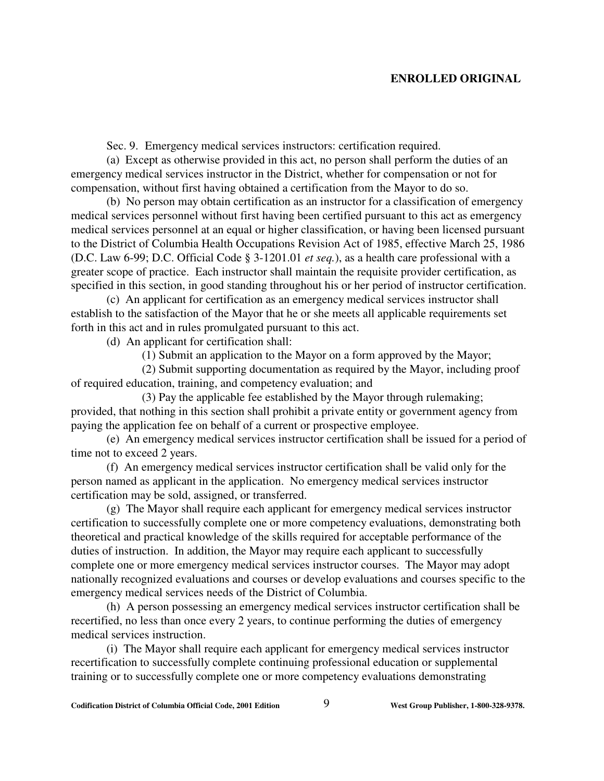Sec. 9. Emergency medical services instructors: certification required.

(a) Except as otherwise provided in this act, no person shall perform the duties of an emergency medical services instructor in the District, whether for compensation or not for compensation, without first having obtained a certification from the Mayor to do so.

(b) No person may obtain certification as an instructor for a classification of emergency medical services personnel without first having been certified pursuant to this act as emergency medical services personnel at an equal or higher classification, or having been licensed pursuant to the District of Columbia Health Occupations Revision Act of 1985, effective March 25, 1986 (D.C. Law 6-99; D.C. Official Code § 3-1201.01 *et seq.*), as a health care professional with a greater scope of practice. Each instructor shall maintain the requisite provider certification, as specified in this section, in good standing throughout his or her period of instructor certification.

(c) An applicant for certification as an emergency medical services instructor shall establish to the satisfaction of the Mayor that he or she meets all applicable requirements set forth in this act and in rules promulgated pursuant to this act.

(d) An applicant for certification shall:

(1) Submit an application to the Mayor on a form approved by the Mayor;

 (2) Submit supporting documentation as required by the Mayor, including proof of required education, training, and competency evaluation; and

(3) Pay the applicable fee established by the Mayor through rulemaking; provided, that nothing in this section shall prohibit a private entity or government agency from paying the application fee on behalf of a current or prospective employee.

(e) An emergency medical services instructor certification shall be issued for a period of time not to exceed 2 years.

(f) An emergency medical services instructor certification shall be valid only for the person named as applicant in the application. No emergency medical services instructor certification may be sold, assigned, or transferred.

(g) The Mayor shall require each applicant for emergency medical services instructor certification to successfully complete one or more competency evaluations, demonstrating both theoretical and practical knowledge of the skills required for acceptable performance of the duties of instruction. In addition, the Mayor may require each applicant to successfully complete one or more emergency medical services instructor courses. The Mayor may adopt nationally recognized evaluations and courses or develop evaluations and courses specific to the emergency medical services needs of the District of Columbia.

(h) A person possessing an emergency medical services instructor certification shall be recertified, no less than once every 2 years, to continue performing the duties of emergency medical services instruction.

(i) The Mayor shall require each applicant for emergency medical services instructor recertification to successfully complete continuing professional education or supplemental training or to successfully complete one or more competency evaluations demonstrating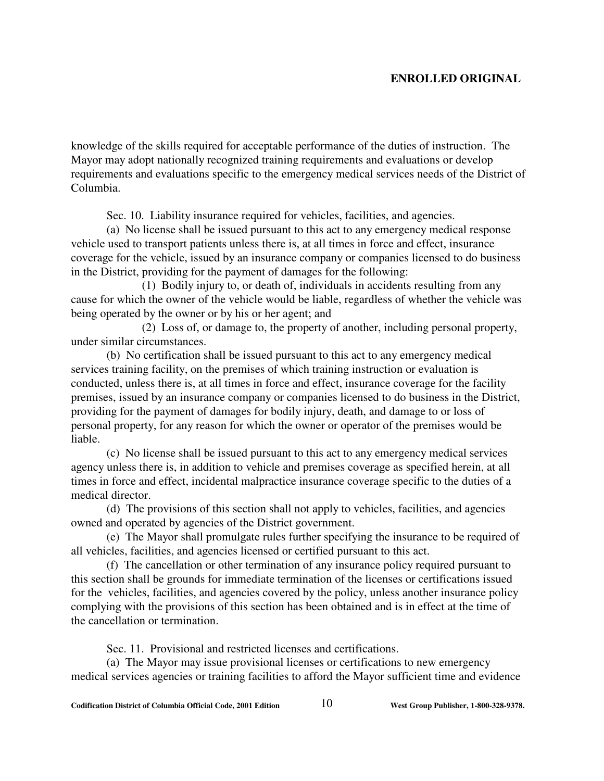knowledge of the skills required for acceptable performance of the duties of instruction. The Mayor may adopt nationally recognized training requirements and evaluations or develop requirements and evaluations specific to the emergency medical services needs of the District of Columbia.

Sec. 10. Liability insurance required for vehicles, facilities, and agencies.

(a) No license shall be issued pursuant to this act to any emergency medical response vehicle used to transport patients unless there is, at all times in force and effect, insurance coverage for the vehicle, issued by an insurance company or companies licensed to do business in the District, providing for the payment of damages for the following:

(1) Bodily injury to, or death of, individuals in accidents resulting from any cause for which the owner of the vehicle would be liable, regardless of whether the vehicle was being operated by the owner or by his or her agent; and

(2) Loss of, or damage to, the property of another, including personal property, under similar circumstances.

(b) No certification shall be issued pursuant to this act to any emergency medical services training facility, on the premises of which training instruction or evaluation is conducted, unless there is, at all times in force and effect, insurance coverage for the facility premises, issued by an insurance company or companies licensed to do business in the District, providing for the payment of damages for bodily injury, death, and damage to or loss of personal property, for any reason for which the owner or operator of the premises would be liable.

(c) No license shall be issued pursuant to this act to any emergency medical services agency unless there is, in addition to vehicle and premises coverage as specified herein, at all times in force and effect, incidental malpractice insurance coverage specific to the duties of a medical director.

(d) The provisions of this section shall not apply to vehicles, facilities, and agencies owned and operated by agencies of the District government.

(e) The Mayor shall promulgate rules further specifying the insurance to be required of all vehicles, facilities, and agencies licensed or certified pursuant to this act.

(f) The cancellation or other termination of any insurance policy required pursuant to this section shall be grounds for immediate termination of the licenses or certifications issued for the vehicles, facilities, and agencies covered by the policy, unless another insurance policy complying with the provisions of this section has been obtained and is in effect at the time of the cancellation or termination.

Sec. 11. Provisional and restricted licenses and certifications.

(a) The Mayor may issue provisional licenses or certifications to new emergency medical services agencies or training facilities to afford the Mayor sufficient time and evidence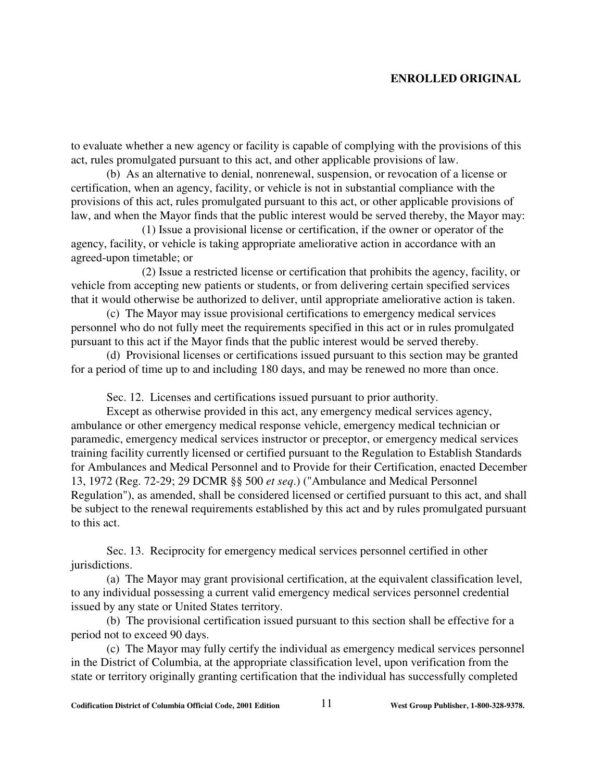to evaluate whether a new agency or facility is capable of complying with the provisions of this act, rules promulgated pursuant to this act, and other applicable provisions of law.

(b) As an alternative to denial, nonrenewal, suspension, or revocation of a license or certification, when an agency, facility, or vehicle is not in substantial compliance with the provisions of this act, rules promulgated pursuant to this act, or other applicable provisions of law, and when the Mayor finds that the public interest would be served thereby, the Mayor may:

(1) Issue a provisional license or certification, if the owner or operator of the agency, facility, or vehicle is taking appropriate ameliorative action in accordance with an agreed-upon timetable; or

 (2) Issue a restricted license or certification that prohibits the agency, facility, or vehicle from accepting new patients or students, or from delivering certain specified services that it would otherwise be authorized to deliver, until appropriate ameliorative action is taken.

(c) The Mayor may issue provisional certifications to emergency medical services personnel who do not fully meet the requirements specified in this act or in rules promulgated pursuant to this act if the Mayor finds that the public interest would be served thereby.

(d) Provisional licenses or certifications issued pursuant to this section may be granted for a period of time up to and including 180 days, and may be renewed no more than once.

Sec. 12. Licenses and certifications issued pursuant to prior authority.

Except as otherwise provided in this act, any emergency medical services agency, ambulance or other emergency medical response vehicle, emergency medical technician or paramedic, emergency medical services instructor or preceptor, or emergency medical services training facility currently licensed or certified pursuant to the Regulation to Establish Standards for Ambulances and Medical Personnel and to Provide for their Certification, enacted December 13, 1972 (Reg. 72-29; 29 DCMR §§ 500 *et seq*.) ("Ambulance and Medical Personnel Regulation"), as amended, shall be considered licensed or certified pursuant to this act, and shall be subject to the renewal requirements established by this act and by rules promulgated pursuant to this act.

Sec. 13. Reciprocity for emergency medical services personnel certified in other jurisdictions.

(a) The Mayor may grant provisional certification, at the equivalent classification level, to any individual possessing a current valid emergency medical services personnel credential issued by any state or United States territory.

(b) The provisional certification issued pursuant to this section shall be effective for a period not to exceed 90 days.

(c) The Mayor may fully certify the individual as emergency medical services personnel in the District of Columbia, at the appropriate classification level, upon verification from the state or territory originally granting certification that the individual has successfully completed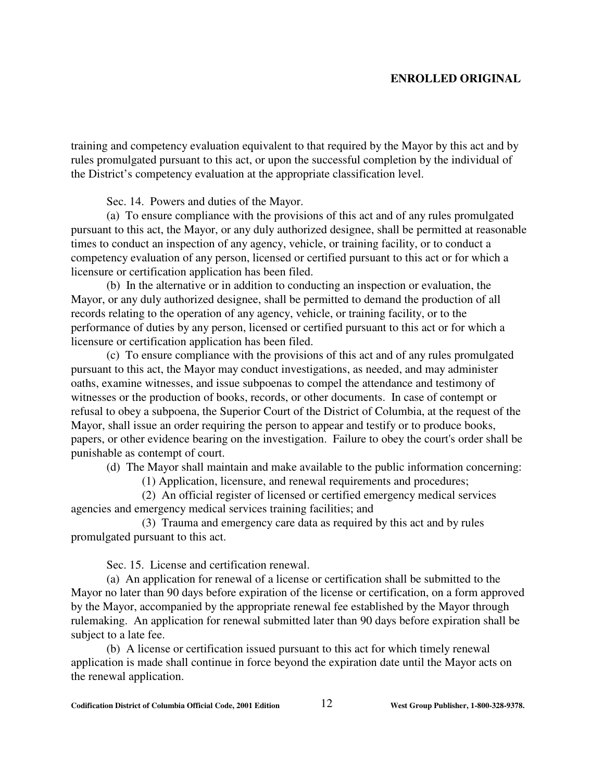training and competency evaluation equivalent to that required by the Mayor by this act and by rules promulgated pursuant to this act, or upon the successful completion by the individual of the District's competency evaluation at the appropriate classification level.

Sec. 14. Powers and duties of the Mayor.

(a) To ensure compliance with the provisions of this act and of any rules promulgated pursuant to this act, the Mayor, or any duly authorized designee, shall be permitted at reasonable times to conduct an inspection of any agency, vehicle, or training facility, or to conduct a competency evaluation of any person, licensed or certified pursuant to this act or for which a licensure or certification application has been filed.

(b) In the alternative or in addition to conducting an inspection or evaluation, the Mayor, or any duly authorized designee, shall be permitted to demand the production of all records relating to the operation of any agency, vehicle, or training facility, or to the performance of duties by any person, licensed or certified pursuant to this act or for which a licensure or certification application has been filed.

(c) To ensure compliance with the provisions of this act and of any rules promulgated pursuant to this act, the Mayor may conduct investigations, as needed, and may administer oaths, examine witnesses, and issue subpoenas to compel the attendance and testimony of witnesses or the production of books, records, or other documents. In case of contempt or refusal to obey a subpoena, the Superior Court of the District of Columbia, at the request of the Mayor, shall issue an order requiring the person to appear and testify or to produce books, papers, or other evidence bearing on the investigation. Failure to obey the court's order shall be punishable as contempt of court.

(d) The Mayor shall maintain and make available to the public information concerning:

(1) Application, licensure, and renewal requirements and procedures;

(2) An official register of licensed or certified emergency medical services agencies and emergency medical services training facilities; and

(3) Trauma and emergency care data as required by this act and by rules promulgated pursuant to this act.

Sec. 15. License and certification renewal.

(a) An application for renewal of a license or certification shall be submitted to the Mayor no later than 90 days before expiration of the license or certification, on a form approved by the Mayor, accompanied by the appropriate renewal fee established by the Mayor through rulemaking. An application for renewal submitted later than 90 days before expiration shall be subject to a late fee.

(b) A license or certification issued pursuant to this act for which timely renewal application is made shall continue in force beyond the expiration date until the Mayor acts on the renewal application.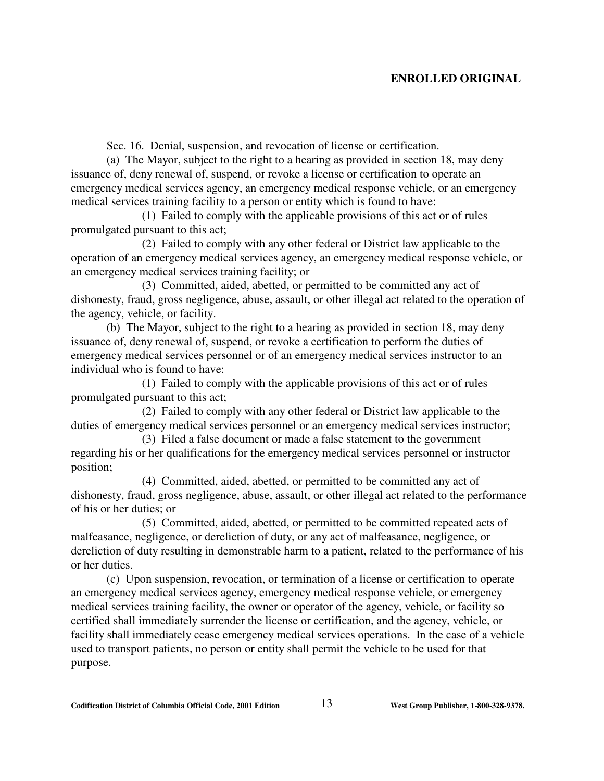Sec. 16. Denial, suspension, and revocation of license or certification.

(a) The Mayor, subject to the right to a hearing as provided in section 18, may deny issuance of, deny renewal of, suspend, or revoke a license or certification to operate an emergency medical services agency, an emergency medical response vehicle, or an emergency medical services training facility to a person or entity which is found to have:

(1) Failed to comply with the applicable provisions of this act or of rules promulgated pursuant to this act;

(2) Failed to comply with any other federal or District law applicable to the operation of an emergency medical services agency, an emergency medical response vehicle, or an emergency medical services training facility; or

(3) Committed, aided, abetted, or permitted to be committed any act of dishonesty, fraud, gross negligence, abuse, assault, or other illegal act related to the operation of the agency, vehicle, or facility.

(b) The Mayor, subject to the right to a hearing as provided in section 18, may deny issuance of, deny renewal of, suspend, or revoke a certification to perform the duties of emergency medical services personnel or of an emergency medical services instructor to an individual who is found to have:

(1) Failed to comply with the applicable provisions of this act or of rules promulgated pursuant to this act;

(2) Failed to comply with any other federal or District law applicable to the duties of emergency medical services personnel or an emergency medical services instructor;

(3) Filed a false document or made a false statement to the government regarding his or her qualifications for the emergency medical services personnel or instructor position;

(4) Committed, aided, abetted, or permitted to be committed any act of dishonesty, fraud, gross negligence, abuse, assault, or other illegal act related to the performance of his or her duties; or

(5) Committed, aided, abetted, or permitted to be committed repeated acts of malfeasance, negligence, or dereliction of duty, or any act of malfeasance, negligence, or dereliction of duty resulting in demonstrable harm to a patient, related to the performance of his or her duties.

(c) Upon suspension, revocation, or termination of a license or certification to operate an emergency medical services agency, emergency medical response vehicle, or emergency medical services training facility, the owner or operator of the agency, vehicle, or facility so certified shall immediately surrender the license or certification, and the agency, vehicle, or facility shall immediately cease emergency medical services operations. In the case of a vehicle used to transport patients, no person or entity shall permit the vehicle to be used for that purpose.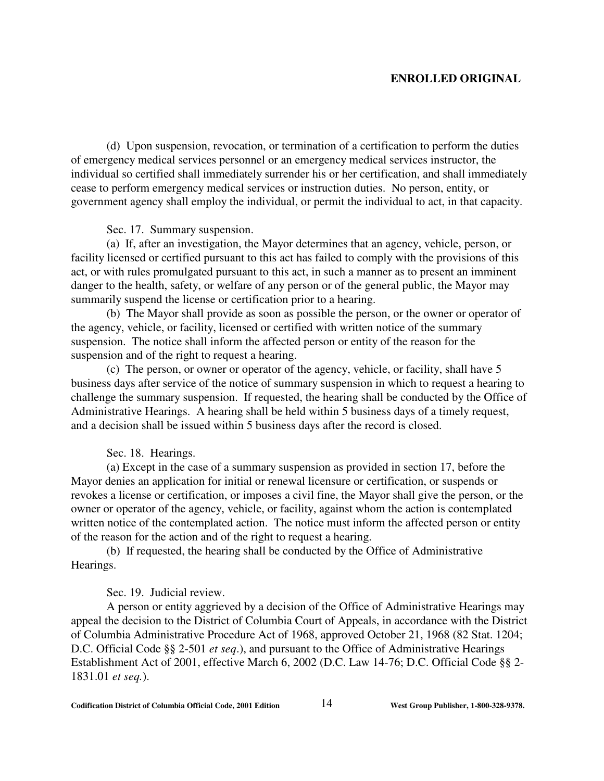(d) Upon suspension, revocation, or termination of a certification to perform the duties of emergency medical services personnel or an emergency medical services instructor, the individual so certified shall immediately surrender his or her certification, and shall immediately cease to perform emergency medical services or instruction duties. No person, entity, or government agency shall employ the individual, or permit the individual to act, in that capacity.

#### Sec. 17. Summary suspension.

(a) If, after an investigation, the Mayor determines that an agency, vehicle, person, or facility licensed or certified pursuant to this act has failed to comply with the provisions of this act, or with rules promulgated pursuant to this act, in such a manner as to present an imminent danger to the health, safety, or welfare of any person or of the general public, the Mayor may summarily suspend the license or certification prior to a hearing.

(b) The Mayor shall provide as soon as possible the person, or the owner or operator of the agency, vehicle, or facility, licensed or certified with written notice of the summary suspension. The notice shall inform the affected person or entity of the reason for the suspension and of the right to request a hearing.

(c) The person, or owner or operator of the agency, vehicle, or facility, shall have 5 business days after service of the notice of summary suspension in which to request a hearing to challenge the summary suspension. If requested, the hearing shall be conducted by the Office of Administrative Hearings. A hearing shall be held within 5 business days of a timely request, and a decision shall be issued within 5 business days after the record is closed.

#### Sec. 18. Hearings.

(a) Except in the case of a summary suspension as provided in section 17, before the Mayor denies an application for initial or renewal licensure or certification, or suspends or revokes a license or certification, or imposes a civil fine, the Mayor shall give the person, or the owner or operator of the agency, vehicle, or facility, against whom the action is contemplated written notice of the contemplated action. The notice must inform the affected person or entity of the reason for the action and of the right to request a hearing.

(b) If requested, the hearing shall be conducted by the Office of Administrative Hearings.

## Sec. 19. Judicial review.

A person or entity aggrieved by a decision of the Office of Administrative Hearings may appeal the decision to the District of Columbia Court of Appeals, in accordance with the District of Columbia Administrative Procedure Act of 1968, approved October 21, 1968 (82 Stat. 1204; D.C. Official Code §§ 2-501 *et seq*.), and pursuant to the Office of Administrative Hearings Establishment Act of 2001, effective March 6, 2002 (D.C. Law 14-76; D.C. Official Code §§ 2- 1831.01 *et seq.*).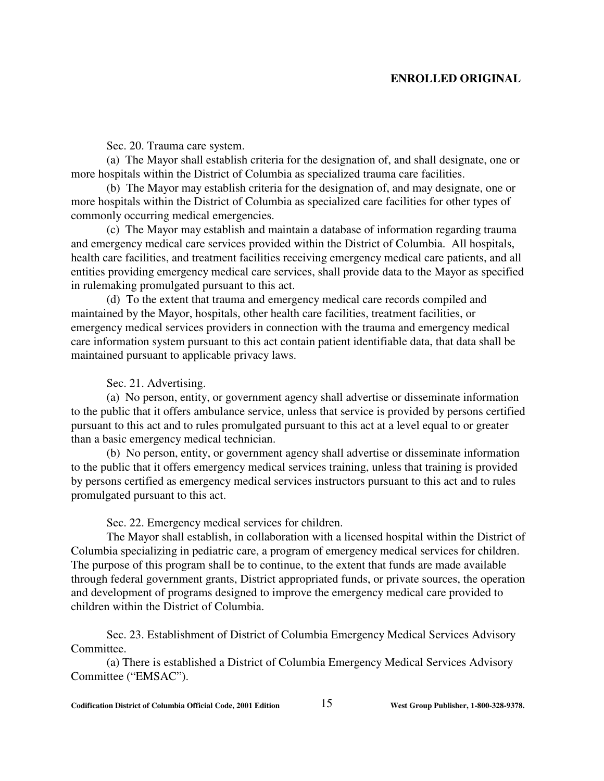Sec. 20. Trauma care system.

(a) The Mayor shall establish criteria for the designation of, and shall designate, one or more hospitals within the District of Columbia as specialized trauma care facilities.

(b) The Mayor may establish criteria for the designation of, and may designate, one or more hospitals within the District of Columbia as specialized care facilities for other types of commonly occurring medical emergencies.

(c) The Mayor may establish and maintain a database of information regarding trauma and emergency medical care services provided within the District of Columbia. All hospitals, health care facilities, and treatment facilities receiving emergency medical care patients, and all entities providing emergency medical care services, shall provide data to the Mayor as specified in rulemaking promulgated pursuant to this act.

(d) To the extent that trauma and emergency medical care records compiled and maintained by the Mayor, hospitals, other health care facilities, treatment facilities, or emergency medical services providers in connection with the trauma and emergency medical care information system pursuant to this act contain patient identifiable data, that data shall be maintained pursuant to applicable privacy laws.

Sec. 21. Advertising.

(a) No person, entity, or government agency shall advertise or disseminate information to the public that it offers ambulance service, unless that service is provided by persons certified pursuant to this act and to rules promulgated pursuant to this act at a level equal to or greater than a basic emergency medical technician.

(b) No person, entity, or government agency shall advertise or disseminate information to the public that it offers emergency medical services training, unless that training is provided by persons certified as emergency medical services instructors pursuant to this act and to rules promulgated pursuant to this act.

Sec. 22. Emergency medical services for children.

The Mayor shall establish, in collaboration with a licensed hospital within the District of Columbia specializing in pediatric care, a program of emergency medical services for children. The purpose of this program shall be to continue, to the extent that funds are made available through federal government grants, District appropriated funds, or private sources, the operation and development of programs designed to improve the emergency medical care provided to children within the District of Columbia.

Sec. 23. Establishment of District of Columbia Emergency Medical Services Advisory Committee.

(a) There is established a District of Columbia Emergency Medical Services Advisory Committee ("EMSAC").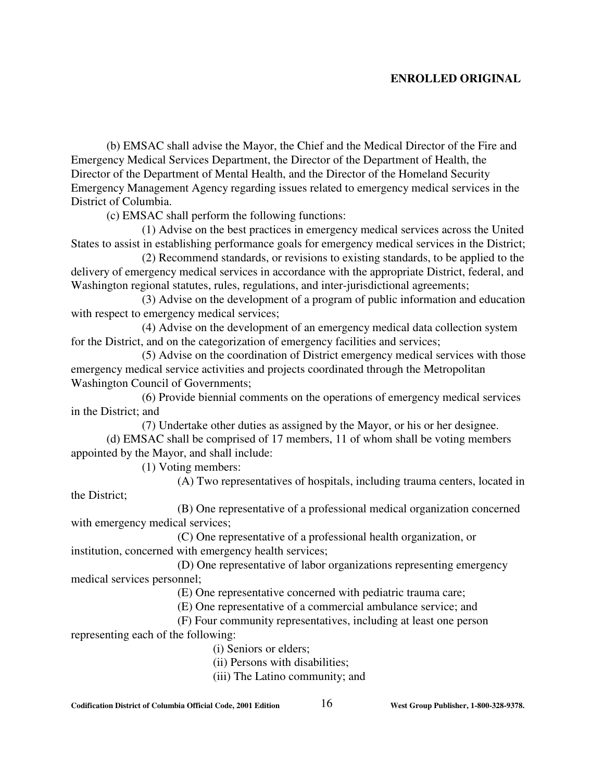(b) EMSAC shall advise the Mayor, the Chief and the Medical Director of the Fire and Emergency Medical Services Department, the Director of the Department of Health, the Director of the Department of Mental Health, and the Director of the Homeland Security Emergency Management Agency regarding issues related to emergency medical services in the District of Columbia.

(c) EMSAC shall perform the following functions:

(1) Advise on the best practices in emergency medical services across the United States to assist in establishing performance goals for emergency medical services in the District;

(2) Recommend standards, or revisions to existing standards, to be applied to the delivery of emergency medical services in accordance with the appropriate District, federal, and Washington regional statutes, rules, regulations, and inter-jurisdictional agreements;

(3) Advise on the development of a program of public information and education with respect to emergency medical services;

(4) Advise on the development of an emergency medical data collection system for the District, and on the categorization of emergency facilities and services;

(5) Advise on the coordination of District emergency medical services with those emergency medical service activities and projects coordinated through the Metropolitan Washington Council of Governments;

(6) Provide biennial comments on the operations of emergency medical services in the District; and

(7) Undertake other duties as assigned by the Mayor, or his or her designee.

(d) EMSAC shall be comprised of 17 members, 11 of whom shall be voting members appointed by the Mayor, and shall include:

(1) Voting members:

(A) Two representatives of hospitals, including trauma centers, located in

the District;

(B) One representative of a professional medical organization concerned with emergency medical services;

(C) One representative of a professional health organization, or institution, concerned with emergency health services;

(D) One representative of labor organizations representing emergency medical services personnel;

(E) One representative concerned with pediatric trauma care;

(E) One representative of a commercial ambulance service; and

(F) Four community representatives, including at least one person representing each of the following:

(i) Seniors or elders;

(ii) Persons with disabilities;

(iii) The Latino community; and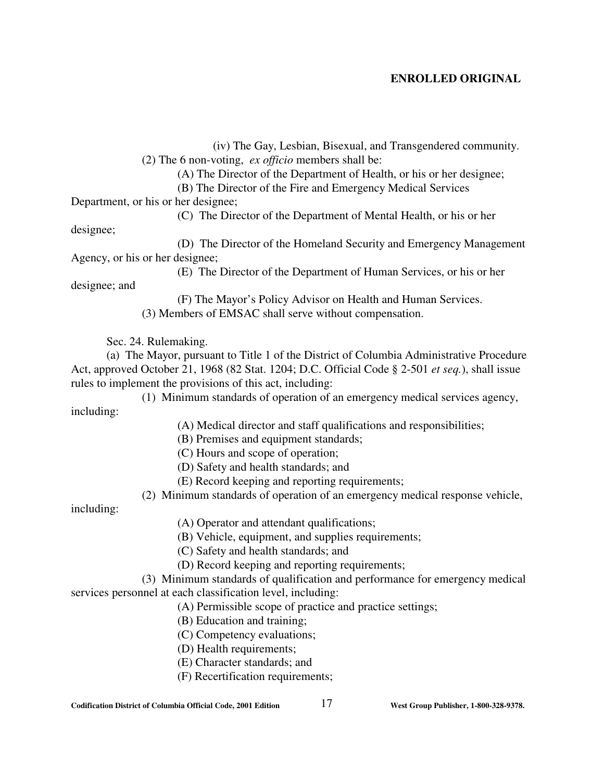(iv) The Gay, Lesbian, Bisexual, and Transgendered community. (2) The 6 non-voting, *ex officio* members shall be:

(A) The Director of the Department of Health, or his or her designee;

(B) The Director of the Fire and Emergency Medical Services

Department, or his or her designee;

(C) The Director of the Department of Mental Health, or his or her

designee;

(D) The Director of the Homeland Security and Emergency Management Agency, or his or her designee;

(E) The Director of the Department of Human Services, or his or her

designee; and

(F) The Mayor's Policy Advisor on Health and Human Services. (3) Members of EMSAC shall serve without compensation.

Sec. 24. Rulemaking.

(a) The Mayor, pursuant to Title 1 of the District of Columbia Administrative Procedure Act, approved October 21, 1968 (82 Stat. 1204; D.C. Official Code § 2-501 *et seq.*), shall issue rules to implement the provisions of this act, including:

(1) Minimum standards of operation of an emergency medical services agency, including:

(A) Medical director and staff qualifications and responsibilities;

(B) Premises and equipment standards;

- (C) Hours and scope of operation;
- (D) Safety and health standards; and
- (E) Record keeping and reporting requirements;

(2) Minimum standards of operation of an emergency medical response vehicle,

including:

- (A) Operator and attendant qualifications;
- (B) Vehicle, equipment, and supplies requirements;
- (C) Safety and health standards; and
- (D) Record keeping and reporting requirements;

(3) Minimum standards of qualification and performance for emergency medical services personnel at each classification level, including:

- (A) Permissible scope of practice and practice settings;
- (B) Education and training;
- (C) Competency evaluations;
- (D) Health requirements;
- (E) Character standards; and
- (F) Recertification requirements;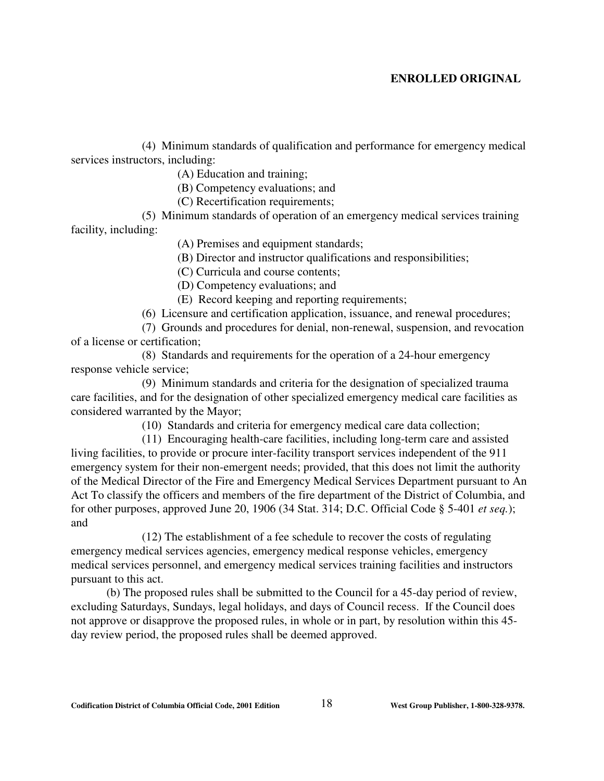(4) Minimum standards of qualification and performance for emergency medical services instructors, including:

(A) Education and training;

(B) Competency evaluations; and

(C) Recertification requirements;

(5) Minimum standards of operation of an emergency medical services training facility, including:

(A) Premises and equipment standards;

(B) Director and instructor qualifications and responsibilities;

(C) Curricula and course contents;

(D) Competency evaluations; and

(E) Record keeping and reporting requirements;

(6) Licensure and certification application, issuance, and renewal procedures;

(7) Grounds and procedures for denial, non-renewal, suspension, and revocation of a license or certification;

 (8) Standards and requirements for the operation of a 24-hour emergency response vehicle service;

(9) Minimum standards and criteria for the designation of specialized trauma care facilities, and for the designation of other specialized emergency medical care facilities as considered warranted by the Mayor;

(10) Standards and criteria for emergency medical care data collection;

(11) Encouraging health-care facilities, including long-term care and assisted living facilities, to provide or procure inter-facility transport services independent of the 911 emergency system for their non-emergent needs; provided, that this does not limit the authority of the Medical Director of the Fire and Emergency Medical Services Department pursuant to An Act To classify the officers and members of the fire department of the District of Columbia, and for other purposes, approved June 20, 1906 (34 Stat. 314; D.C. Official Code § 5-401 *et seq.*); and

(12) The establishment of a fee schedule to recover the costs of regulating emergency medical services agencies, emergency medical response vehicles, emergency medical services personnel, and emergency medical services training facilities and instructors pursuant to this act.

(b) The proposed rules shall be submitted to the Council for a 45-day period of review, excluding Saturdays, Sundays, legal holidays, and days of Council recess. If the Council does not approve or disapprove the proposed rules, in whole or in part, by resolution within this 45 day review period, the proposed rules shall be deemed approved.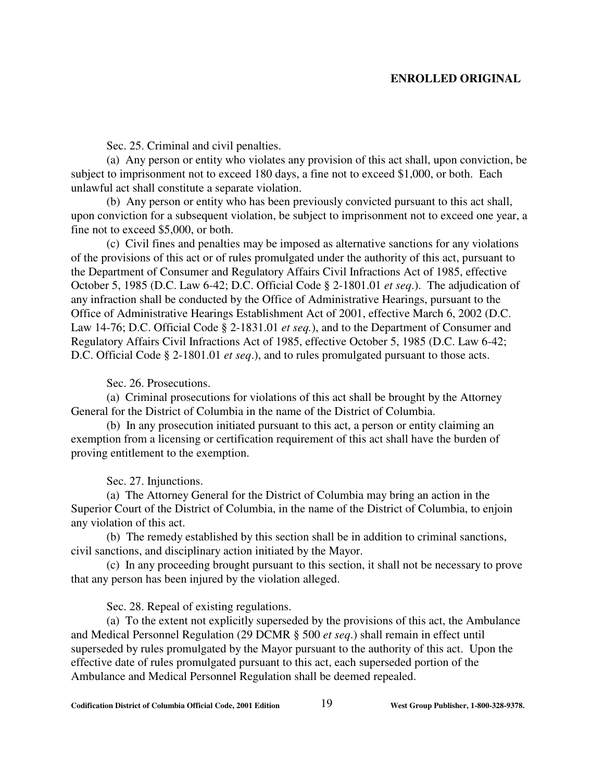Sec. 25. Criminal and civil penalties.

(a) Any person or entity who violates any provision of this act shall, upon conviction, be subject to imprisonment not to exceed 180 days, a fine not to exceed \$1,000, or both. Each unlawful act shall constitute a separate violation.

(b) Any person or entity who has been previously convicted pursuant to this act shall, upon conviction for a subsequent violation, be subject to imprisonment not to exceed one year, a fine not to exceed \$5,000, or both.

(c) Civil fines and penalties may be imposed as alternative sanctions for any violations of the provisions of this act or of rules promulgated under the authority of this act, pursuant to the Department of Consumer and Regulatory Affairs Civil Infractions Act of 1985, effective October 5, 1985 (D.C. Law 6-42; D.C. Official Code § 2-1801.01 *et seq*.). The adjudication of any infraction shall be conducted by the Office of Administrative Hearings, pursuant to the Office of Administrative Hearings Establishment Act of 2001, effective March 6, 2002 (D.C. Law 14-76; D.C. Official Code § 2-1831.01 *et seq.*), and to the Department of Consumer and Regulatory Affairs Civil Infractions Act of 1985, effective October 5, 1985 (D.C. Law 6-42; D.C. Official Code § 2-1801.01 *et seq*.), and to rules promulgated pursuant to those acts.

Sec. 26. Prosecutions.

(a) Criminal prosecutions for violations of this act shall be brought by the Attorney General for the District of Columbia in the name of the District of Columbia.

(b) In any prosecution initiated pursuant to this act, a person or entity claiming an exemption from a licensing or certification requirement of this act shall have the burden of proving entitlement to the exemption.

Sec. 27. Injunctions.

(a) The Attorney General for the District of Columbia may bring an action in the Superior Court of the District of Columbia, in the name of the District of Columbia, to enjoin any violation of this act.

(b) The remedy established by this section shall be in addition to criminal sanctions, civil sanctions, and disciplinary action initiated by the Mayor.

(c) In any proceeding brought pursuant to this section, it shall not be necessary to prove that any person has been injured by the violation alleged.

Sec. 28. Repeal of existing regulations.

(a) To the extent not explicitly superseded by the provisions of this act, the Ambulance and Medical Personnel Regulation (29 DCMR § 500 *et seq*.) shall remain in effect until superseded by rules promulgated by the Mayor pursuant to the authority of this act. Upon the effective date of rules promulgated pursuant to this act, each superseded portion of the Ambulance and Medical Personnel Regulation shall be deemed repealed.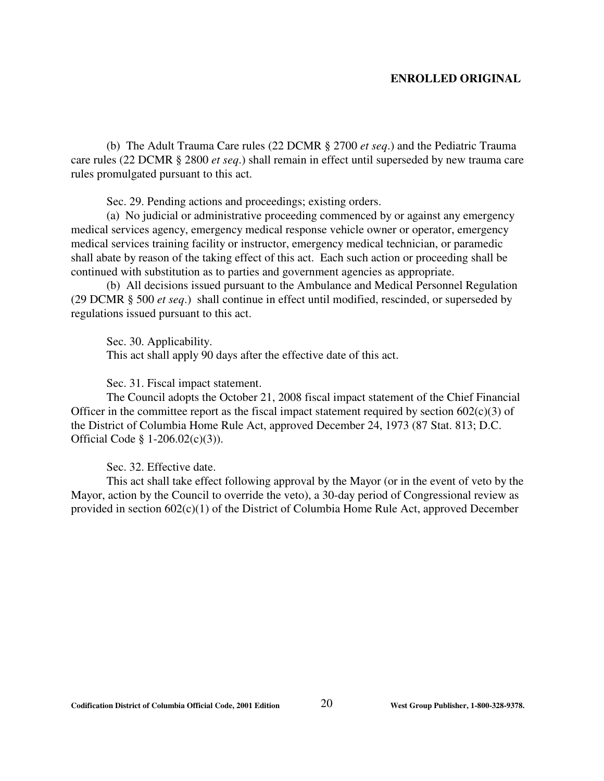(b) The Adult Trauma Care rules (22 DCMR § 2700 *et seq*.) and the Pediatric Trauma care rules (22 DCMR § 2800 *et seq*.) shall remain in effect until superseded by new trauma care rules promulgated pursuant to this act.

Sec. 29. Pending actions and proceedings; existing orders.

(a) No judicial or administrative proceeding commenced by or against any emergency medical services agency, emergency medical response vehicle owner or operator, emergency medical services training facility or instructor, emergency medical technician, or paramedic shall abate by reason of the taking effect of this act. Each such action or proceeding shall be continued with substitution as to parties and government agencies as appropriate.

(b) All decisions issued pursuant to the Ambulance and Medical Personnel Regulation (29 DCMR § 500 *et seq*.) shall continue in effect until modified, rescinded, or superseded by regulations issued pursuant to this act.

Sec. 30. Applicability.

This act shall apply 90 days after the effective date of this act.

Sec. 31. Fiscal impact statement.

The Council adopts the October 21, 2008 fiscal impact statement of the Chief Financial Officer in the committee report as the fiscal impact statement required by section  $602(c)(3)$  of the District of Columbia Home Rule Act, approved December 24, 1973 (87 Stat. 813; D.C. Official Code § 1-206.02(c)(3)).

Sec. 32. Effective date.

This act shall take effect following approval by the Mayor (or in the event of veto by the Mayor, action by the Council to override the veto), a 30-day period of Congressional review as provided in section 602(c)(1) of the District of Columbia Home Rule Act, approved December